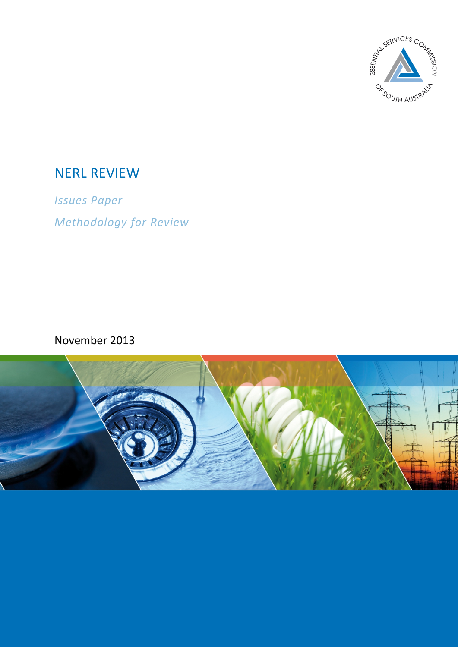

## NERL REVIEW

*Issues Paper Methodology for Review*

November 2013

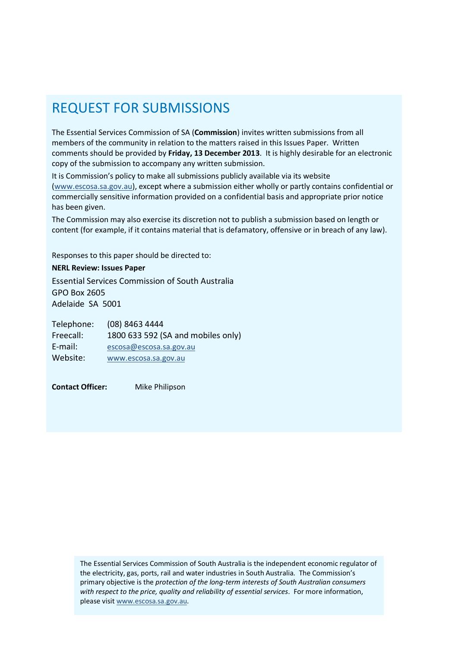## REQUEST FOR SUBMISSIONS

The Essential Services Commission of SA (**Commission**) invites written submissions from all members of the community in relation to the matters raised in this Issues Paper. Written comments should be provided by **Friday, 13 December 2013**. It is highly desirable for an electronic copy of the submission to accompany any written submission.

It is Commission's policy to make all submissions publicly available via its website [\(www.escosa.sa.gov.au\)](http://www.escosa.sa.gov.au/), except where a submission either wholly or partly contains confidential or commercially sensitive information provided on a confidential basis and appropriate prior notice has been given.

The Commission may also exercise its discretion not to publish a submission based on length or content (for example, if it contains material that is defamatory, offensive or in breach of any law).

Responses to this paper should be directed to:

**NERL Review: Issues Paper**

Essential Services Commission of South Australia GPO Box 2605 Adelaide SA 5001

Telephone: (08) 8463 4444 Freecall: 1800 633 592 (SA and mobiles only) E-mail: [escosa@escosa.sa.gov.au](mailto:escosa@escosa.sa.gov.au) Website: [www.escosa.sa.gov.au](http://www.escosa.sa.gov.au/)

**Contact Officer:** Mike Philipson

The Essential Services Commission of South Australia is the independent economic regulator of the electricity, gas, ports, rail and water industries in South Australia. The Commission's primary objective is the *protection of the long-term interests of South Australian consumers with respect to the price, quality and reliability of essential services*. For more information, please visi[t www.escosa.sa.gov.au.](http://www.escosa.sa.gov.au/)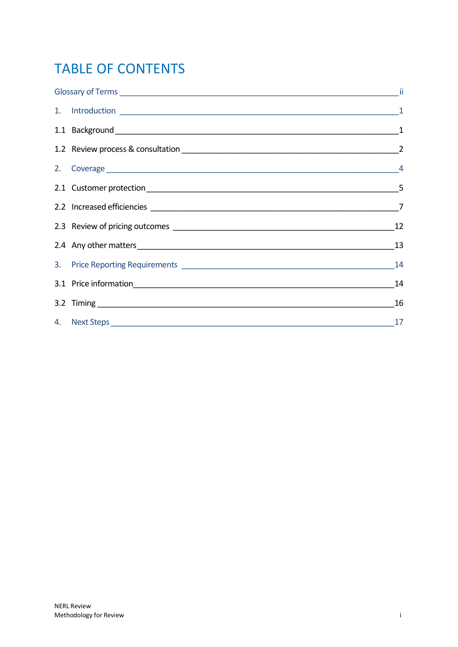# **TABLE OF CONTENTS**

|  | 1.1 Background 1.1 Background 2.1 Background 2.1 Background 2.1 A                                                                                                                                                             |    |
|--|-------------------------------------------------------------------------------------------------------------------------------------------------------------------------------------------------------------------------------|----|
|  |                                                                                                                                                                                                                               |    |
|  | 2. Coverage 14 and 14 and 15 and 15 and 16 and 16 and 16 and 16 and 16 and 16 and 16 and 16 and 16 and 16 and 16 and 16 and 16 and 16 and 16 and 16 and 16 and 16 and 16 and 16 and 16 and 16 and 16 and 16 and 16 and 16 and |    |
|  |                                                                                                                                                                                                                               |    |
|  |                                                                                                                                                                                                                               |    |
|  |                                                                                                                                                                                                                               | 12 |
|  |                                                                                                                                                                                                                               | 13 |
|  |                                                                                                                                                                                                                               | 14 |
|  |                                                                                                                                                                                                                               | 14 |
|  |                                                                                                                                                                                                                               | 16 |
|  |                                                                                                                                                                                                                               | 17 |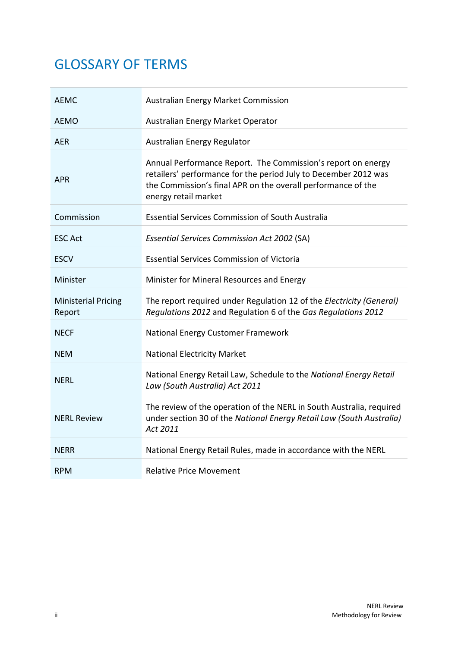# <span id="page-3-0"></span>GLOSSARY OF TERMS

| <b>AEMC</b>                          | Australian Energy Market Commission                                                                                                                                                                                     |  |  |
|--------------------------------------|-------------------------------------------------------------------------------------------------------------------------------------------------------------------------------------------------------------------------|--|--|
| <b>AEMO</b>                          | Australian Energy Market Operator                                                                                                                                                                                       |  |  |
| <b>AER</b>                           | Australian Energy Regulator                                                                                                                                                                                             |  |  |
| <b>APR</b>                           | Annual Performance Report. The Commission's report on energy<br>retailers' performance for the period July to December 2012 was<br>the Commission's final APR on the overall performance of the<br>energy retail market |  |  |
| Commission                           | <b>Essential Services Commission of South Australia</b>                                                                                                                                                                 |  |  |
| <b>ESC Act</b>                       | <b>Essential Services Commission Act 2002 (SA)</b>                                                                                                                                                                      |  |  |
| <b>ESCV</b>                          | <b>Essential Services Commission of Victoria</b>                                                                                                                                                                        |  |  |
| Minister                             | Minister for Mineral Resources and Energy                                                                                                                                                                               |  |  |
| <b>Ministerial Pricing</b><br>Report | The report required under Regulation 12 of the Electricity (General)<br>Regulations 2012 and Regulation 6 of the Gas Regulations 2012                                                                                   |  |  |
| NECF                                 | National Energy Customer Framework                                                                                                                                                                                      |  |  |
| <b>NEM</b>                           | <b>National Electricity Market</b>                                                                                                                                                                                      |  |  |
| <b>NERL</b>                          | National Energy Retail Law, Schedule to the National Energy Retail<br>Law (South Australia) Act 2011                                                                                                                    |  |  |
| <b>NERL Review</b>                   | The review of the operation of the NERL in South Australia, required<br>under section 30 of the National Energy Retail Law (South Australia)<br>Act 2011                                                                |  |  |
| NERR                                 | National Energy Retail Rules, made in accordance with the NERL                                                                                                                                                          |  |  |
| <b>RPM</b>                           | <b>Relative Price Movement</b>                                                                                                                                                                                          |  |  |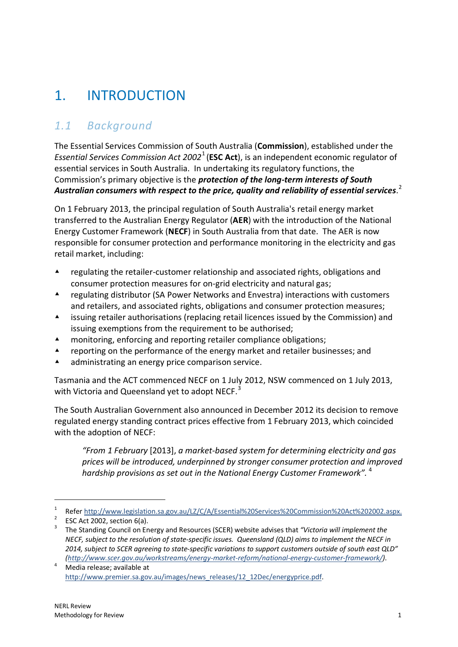# <span id="page-4-0"></span>1. INTRODUCTION

## <span id="page-4-1"></span>*1.1 Background*

The Essential Services Commission of South Australia (**Commission**), established under the *Essential Services Commission Act 2002*[1](#page-4-2) (**ESC Act**), is an independent economic regulator of essential services in South Australia. In undertaking its regulatory functions, the Commission's primary objective is the *protection of the long-term interests of South Australian consumers with respect to the price, quality and reliability of essential services*. [2](#page-4-3)

On 1 February 2013, the principal regulation of South Australia's retail energy market transferred to the Australian Energy Regulator (**AER**) with the introduction of the National Energy Customer Framework (**NECF**) in South Australia from that date. The AER is now responsible for consumer protection and performance monitoring in the electricity and gas retail market, including:

- **A** regulating the retailer-customer relationship and associated rights, obligations and consumer protection measures for on-grid electricity and natural gas;
- regulating distributor (SA Power Networks and Envestra) interactions with customers and retailers, and associated rights, obligations and consumer protection measures;
- issuing retailer authorisations (replacing retail licences issued by the Commission) and issuing exemptions from the requirement to be authorised;
- monitoring, enforcing and reporting retailer compliance obligations;
- **A** reporting on the performance of the energy market and retailer businesses; and
- **A** administrating an energy price comparison service.

Tasmania and the ACT commenced NECF on 1 July 2012, NSW commenced on 1 July 2013, with Victoria and Queensland yet to adopt NECF.<sup>[3](#page-4-4)</sup>

The South Australian Government also announced in December 2012 its decision to remove regulated energy standing contract prices effective from 1 February 2013, which coincided with the adoption of NECF:

*"From 1 February* [2013], *a market-based system for determining electricity and gas prices will be introduced, underpinned by stronger consumer protection and improved hardship provisions as set out in the National Energy Customer Framework".* [4](#page-4-5)

<span id="page-4-2"></span><sup>&</sup>lt;sup>1</sup> Refer [http://www.legislation.sa.gov.au/LZ/C/A/Essential%20Services%20Commission%20Act%202002.aspx.](http://www.legislation.sa.gov.au/LZ/C/A/Essential%20Services%20Commission%20Act%202002.aspx)<br><sup>2</sup> ESC Act 2002. section 6(a).

<span id="page-4-4"></span><span id="page-4-3"></span><sup>&</sup>lt;sup>3</sup> The Standing Council on Energy and Resources (SCER) website advises that *"Victoria will implement the NECF, subject to the resolution of state-specific issues. Queensland (QLD) aims to implement the NECF in 2014, subject to SCER agreeing to state-specific variations to support customers outside of south east QLD" [\(http://www.scer.gov.au/workstreams/energy-market-reform/national-energy-customer-framework/\)](http://www.scer.gov.au/workstreams/energy-market-reform/national-energy-customer-framework/)*.

<span id="page-4-6"></span><span id="page-4-5"></span>Media release; available at [http://www.premier.sa.gov.au/images/news\\_releases/12\\_12Dec/energyprice.pdf.](http://www.premier.sa.gov.au/images/news_releases/12_12Dec/energyprice.pdf)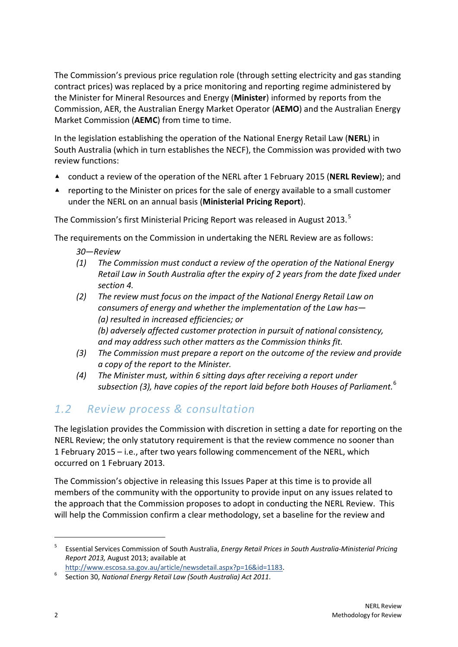The Commission's previous price regulation role (through setting electricity and gas standing contract prices) was replaced by a price monitoring and reporting regime administered by the Minister for Mineral Resources and Energy (**Minister**) informed by reports from the Commission, AER, the Australian Energy Market Operator (**AEMO**) and the Australian Energy Market Commission (**AEMC**) from time to time.

In the legislation establishing the operation of the National Energy Retail Law (**NERL**) in South Australia (which in turn establishes the NECF), the Commission was provided with two review functions:

- ▲ conduct a review of the operation of the NERL after 1 February 2015 (**NERL Review**); and
- ▲ reporting to the Minister on prices for the sale of energy available to a small customer under the NERL on an annual basis (**Ministerial Pricing Report**).

The Commission's first Ministerial Pricing Report was released in August 2013.<sup>[5](#page-4-6)</sup>

The requirements on the Commission in undertaking the NERL Review are as follows:

- *30—Review*
- *(1) The Commission must conduct a review of the operation of the National Energy Retail Law in South Australia after the expiry of 2 years from the date fixed under section 4.*
- *(2) The review must focus on the impact of the National Energy Retail Law on consumers of energy and whether the implementation of the Law has— (a) resulted in increased efficiencies; or (b) adversely affected customer protection in pursuit of national consistency, and may address such other matters as the Commission thinks fit.*
- *(3) The Commission must prepare a report on the outcome of the review and provide a copy of the report to the Minister.*
- *(4) The Minister must, within 6 sitting days after receiving a report under subsection (3), have copies of the report laid before both Houses of Parliament.*[6](#page-5-1)

## <span id="page-5-0"></span>*1.2 Review process & consultation*

The legislation provides the Commission with discretion in setting a date for reporting on the NERL Review; the only statutory requirement is that the review commence no sooner than 1 February 2015 – i.e., after two years following commencement of the NERL, which occurred on 1 February 2013.

The Commission's objective in releasing this Issues Paper at this time is to provide all members of the community with the opportunity to provide input on any issues related to the approach that the Commission proposes to adopt in conducting the NERL Review. This will help the Commission confirm a clear methodology, set a baseline for the review and

 <sup>5</sup> Essential Services Commission of South Australia, *Energy Retail Prices in South Australia-Ministerial Pricing Report 2013,* August 2013; available at

[http://www.escosa.sa.gov.au/article/newsdetail.aspx?p=16&id=1183.](http://www.escosa.sa.gov.au/article/newsdetail.aspx?p=16&id=1183)

<span id="page-5-2"></span><span id="page-5-1"></span><sup>6</sup> Section 30, *National Energy Retail Law (South Australia) Act 2011*.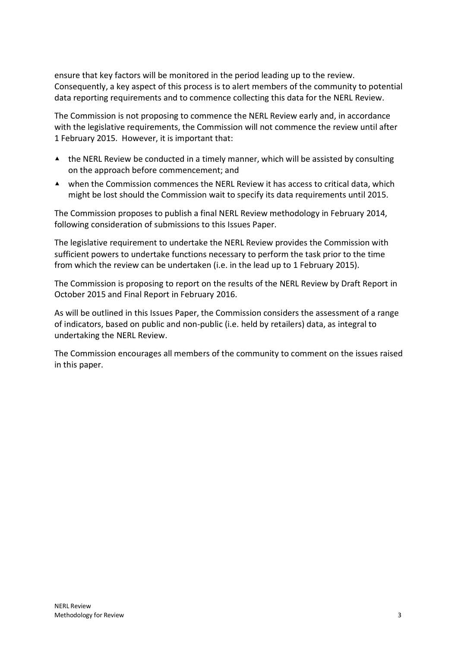ensure that key factors will be monitored in the period leading up to the review. Consequently, a key aspect of this process is to alert members of the community to potential data reporting requirements and to commence collecting this data for the NERL Review.

The Commission is not proposing to commence the NERL Review early and, in accordance with the legislative requirements, the Commission will not commence the review until after 1 February 2015. However, it is important that:

- $\blacktriangle$  the NERL Review be conducted in a timely manner, which will be assisted by consulting on the approach before commencement; and
- ▲ when the Commission commences the NERL Review it has access to critical data, which might be lost should the Commission wait to specify its data requirements until 2015.

The Commission proposes to publish a final NERL Review methodology in February 2014, following consideration of submissions to this Issues Paper.

The legislative requirement to undertake the NERL Review provides the Commission with sufficient powers to undertake functions necessary to perform the task prior to the time from which the review can be undertaken (i.e. in the lead up to 1 February 2015).

The Commission is proposing to report on the results of the NERL Review by Draft Report in October 2015 and Final Report in February 2016.

As will be outlined in this Issues Paper, the Commission considers the assessment of a range of indicators, based on public and non-public (i.e. held by retailers) data, as integral to undertaking the NERL Review.

The Commission encourages all members of the community to comment on the issues raised in this paper.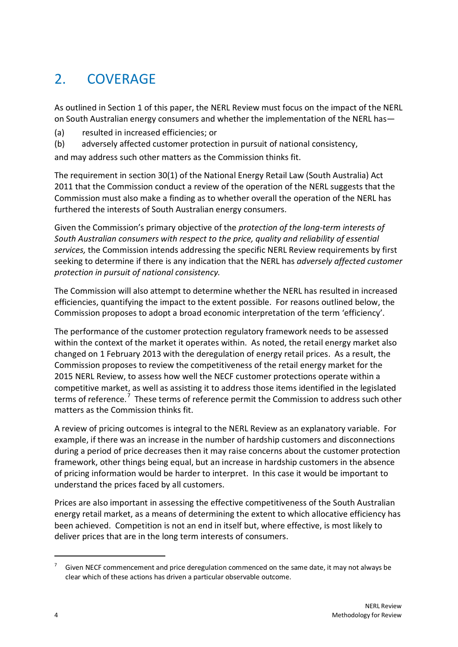# <span id="page-7-0"></span>2. COVERAGE

As outlined in Section 1 of this paper, the NERL Review must focus on the impact of the NERL on South Australian energy consumers and whether the implementation of the NERL has—

(a) resulted in increased efficiencies; or

(b) adversely affected customer protection in pursuit of national consistency,

and may address such other matters as the Commission thinks fit.

The requirement in section 30(1) of the National Energy Retail Law (South Australia) Act 2011 that the Commission conduct a review of the operation of the NERL suggests that the Commission must also make a finding as to whether overall the operation of the NERL has furthered the interests of South Australian energy consumers.

Given the Commission's primary objective of the *protection of the long-term interests of South Australian consumers with respect to the price, quality and reliability of essential services,* the Commission intends addressing the specific NERL Review requirements by first seeking to determine if there is any indication that the NERL has *adversely affected customer protection in pursuit of national consistency.*

The Commission will also attempt to determine whether the NERL has resulted in increased efficiencies, quantifying the impact to the extent possible. For reasons outlined below, the Commission proposes to adopt a broad economic interpretation of the term 'efficiency'.

The performance of the customer protection regulatory framework needs to be assessed within the context of the market it operates within. As noted, the retail energy market also changed on 1 February 2013 with the deregulation of energy retail prices. As a result, the Commission proposes to review the competitiveness of the retail energy market for the 2015 NERL Review, to assess how well the NECF customer protections operate within a competitive market, as well as assisting it to address those items identified in the legislated terms of reference.<sup>[7](#page-5-2)</sup> These terms of reference permit the Commission to address such other matters as the Commission thinks fit.

A review of pricing outcomes is integral to the NERL Review as an explanatory variable. For example, if there was an increase in the number of hardship customers and disconnections during a period of price decreases then it may raise concerns about the customer protection framework, other things being equal, but an increase in hardship customers in the absence of pricing information would be harder to interpret. In this case it would be important to understand the prices faced by all customers.

Prices are also important in assessing the effective competitiveness of the South Australian energy retail market, as a means of determining the extent to which allocative efficiency has been achieved. Competition is not an end in itself but, where effective, is most likely to deliver prices that are in the long term interests of consumers.

<span id="page-7-1"></span>Given NECF commencement and price deregulation commenced on the same date, it may not always be clear which of these actions has driven a particular observable outcome.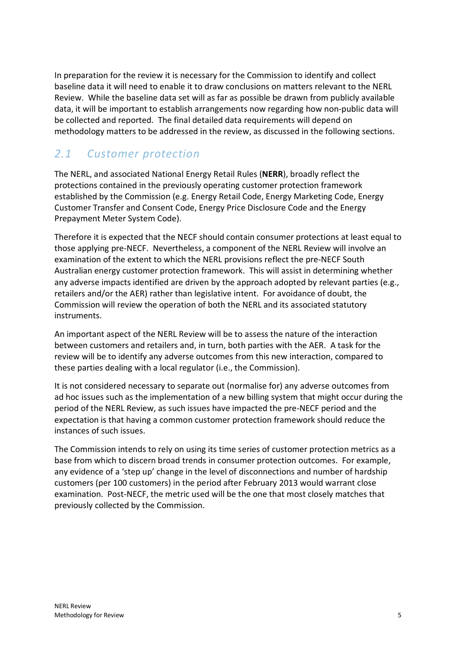In preparation for the review it is necessary for the Commission to identify and collect baseline data it will need to enable it to draw conclusions on matters relevant to the NERL Review. While the baseline data set will as far as possible be drawn from publicly available data, it will be important to establish arrangements now regarding how non-public data will be collected and reported. The final detailed data requirements will depend on methodology matters to be addressed in the review, as discussed in the following sections.

## <span id="page-8-0"></span>*2.1 Customer protection*

The NERL, and associated National Energy Retail Rules (**NERR**), broadly reflect the protections contained in the previously operating customer protection framework established by the Commission (e.g. Energy Retail Code, Energy Marketing Code, Energy Customer Transfer and Consent Code, Energy Price Disclosure Code and the Energy Prepayment Meter System Code).

Therefore it is expected that the NECF should contain consumer protections at least equal to those applying pre-NECF. Nevertheless, a component of the NERL Review will involve an examination of the extent to which the NERL provisions reflect the pre-NECF South Australian energy customer protection framework. This will assist in determining whether any adverse impacts identified are driven by the approach adopted by relevant parties (e.g., retailers and/or the AER) rather than legislative intent. For avoidance of doubt, the Commission will review the operation of both the NERL and its associated statutory instruments.

An important aspect of the NERL Review will be to assess the nature of the interaction between customers and retailers and, in turn, both parties with the AER. A task for the review will be to identify any adverse outcomes from this new interaction, compared to these parties dealing with a local regulator (i.e., the Commission).

It is not considered necessary to separate out (normalise for) any adverse outcomes from ad hoc issues such as the implementation of a new billing system that might occur during the period of the NERL Review, as such issues have impacted the pre-NECF period and the expectation is that having a common customer protection framework should reduce the instances of such issues.

The Commission intends to rely on using its time series of customer protection metrics as a base from which to discern broad trends in consumer protection outcomes. For example, any evidence of a 'step up' change in the level of disconnections and number of hardship customers (per 100 customers) in the period after February 2013 would warrant close examination. Post-NECF, the metric used will be the one that most closely matches that previously collected by the Commission.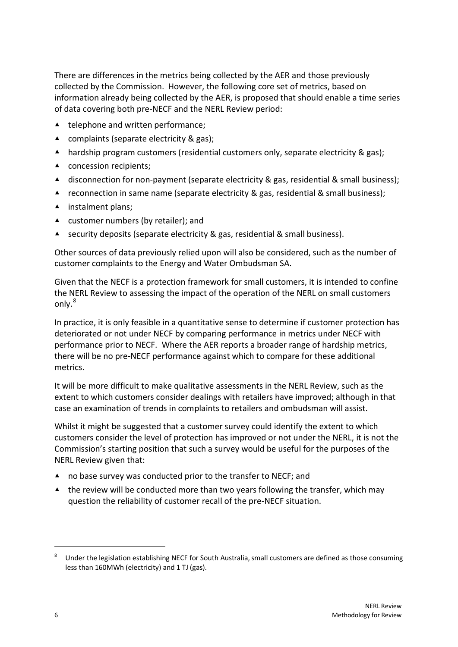There are differences in the metrics being collected by the AER and those previously collected by the Commission. However, the following core set of metrics, based on information already being collected by the AER, is proposed that should enable a time series of data covering both pre-NECF and the NERL Review period:

- ▲ telephone and written performance;
- ▲ complaints (separate electricity & gas);
- ▲ hardship program customers (residential customers only, separate electricity & gas);
- ▲ concession recipients:
- ▲ disconnection for non-payment (separate electricity & gas, residential & small business);
- **A** reconnection in same name (separate electricity & gas, residential & small business);
- ▲ instalment plans;
- ▲ customer numbers (by retailer); and
- ▲ security deposits (separate electricity & gas, residential & small business).

Other sources of data previously relied upon will also be considered, such as the number of customer complaints to the Energy and Water Ombudsman SA.

Given that the NECF is a protection framework for small customers, it is intended to confine the NERL Review to assessing the impact of the operation of the NERL on small customers only.<sup>[8](#page-7-1)</sup>

In practice, it is only feasible in a quantitative sense to determine if customer protection has deteriorated or not under NECF by comparing performance in metrics under NECF with performance prior to NECF. Where the AER reports a broader range of hardship metrics, there will be no pre-NECF performance against which to compare for these additional metrics.

It will be more difficult to make qualitative assessments in the NERL Review, such as the extent to which customers consider dealings with retailers have improved; although in that case an examination of trends in complaints to retailers and ombudsman will assist.

Whilst it might be suggested that a customer survey could identify the extent to which customers consider the level of protection has improved or not under the NERL, it is not the Commission's starting position that such a survey would be useful for the purposes of the NERL Review given that:

- ▲ no base survey was conducted prior to the transfer to NECF; and
- $\blacktriangle$  the review will be conducted more than two years following the transfer, which may question the reliability of customer recall of the pre-NECF situation.

<span id="page-9-0"></span>Under the legislation establishing NECF for South Australia, small customers are defined as those consuming less than 160MWh (electricity) and 1 TJ (gas).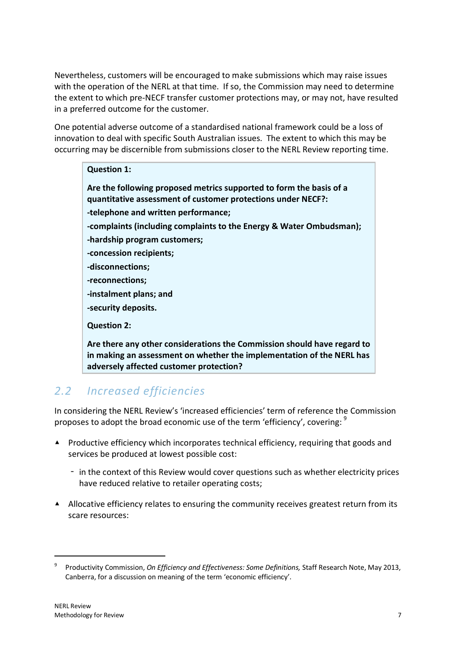Nevertheless, customers will be encouraged to make submissions which may raise issues with the operation of the NERL at that time. If so, the Commission may need to determine the extent to which pre-NECF transfer customer protections may, or may not, have resulted in a preferred outcome for the customer.

One potential adverse outcome of a standardised national framework could be a loss of innovation to deal with specific South Australian issues. The extent to which this may be occurring may be discernible from submissions closer to the NERL Review reporting time.

| <b>Question 1:</b>                                                                                                                                                                          |  |  |
|---------------------------------------------------------------------------------------------------------------------------------------------------------------------------------------------|--|--|
| Are the following proposed metrics supported to form the basis of a<br>quantitative assessment of customer protections under NECF?:                                                         |  |  |
| -telephone and written performance;                                                                                                                                                         |  |  |
| -complaints (including complaints to the Energy & Water Ombudsman);                                                                                                                         |  |  |
| -hardship program customers;                                                                                                                                                                |  |  |
| -concession recipients;                                                                                                                                                                     |  |  |
| -disconnections;                                                                                                                                                                            |  |  |
| -reconnections;                                                                                                                                                                             |  |  |
| -instalment plans; and                                                                                                                                                                      |  |  |
| -security deposits.                                                                                                                                                                         |  |  |
| <b>Question 2:</b>                                                                                                                                                                          |  |  |
| Are there any other considerations the Commission should have regard to<br>in making an assessment on whether the implementation of the NERL has<br>adversely affected customer protection? |  |  |

## <span id="page-10-0"></span>*2.2 Increased efficiencies*

In considering the NERL Review's 'increased efficiencies' term of reference the Commission proposes to adopt the broad economic use of the term 'efficiency', covering: <sup>[9](#page-9-0)</sup>

- ▲ Productive efficiency which incorporates technical efficiency, requiring that goods and services be produced at lowest possible cost:
	- $-$  in the context of this Review would cover questions such as whether electricity prices have reduced relative to retailer operating costs;
- ▲ Allocative efficiency relates to ensuring the community receives greatest return from its scare resources:

<span id="page-10-1"></span> <sup>9</sup> Productivity Commission, *On Efficiency and Effectiveness: Some Definitions,* Staff Research Note, May 2013, Canberra, for a discussion on meaning of the term 'economic efficiency'.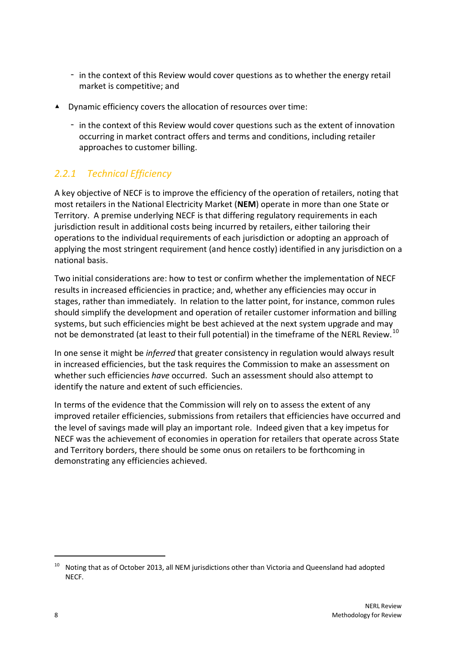- in the context of this Review would cover questions as to whether the energy retail market is competitive; and
- ▲ Dynamic efficiency covers the allocation of resources over time:
	- $-$  in the context of this Review would cover questions such as the extent of innovation occurring in market contract offers and terms and conditions, including retailer approaches to customer billing.

### *2.2.1 Technical Efficiency*

A key objective of NECF is to improve the efficiency of the operation of retailers, noting that most retailers in the National Electricity Market (**NEM**) operate in more than one State or Territory. A premise underlying NECF is that differing regulatory requirements in each jurisdiction result in additional costs being incurred by retailers, either tailoring their operations to the individual requirements of each jurisdiction or adopting an approach of applying the most stringent requirement (and hence costly) identified in any jurisdiction on a national basis.

Two initial considerations are: how to test or confirm whether the implementation of NECF results in increased efficiencies in practice; and, whether any efficiencies may occur in stages, rather than immediately. In relation to the latter point, for instance, common rules should simplify the development and operation of retailer customer information and billing systems, but such efficiencies might be best achieved at the next system upgrade and may not be demonstrated (at least to their full potential) in the timeframe of the NERL Review.<sup>[10](#page-10-1)</sup>

In one sense it might be *inferred* that greater consistency in regulation would always result in increased efficiencies, but the task requires the Commission to make an assessment on whether such efficiencies *have* occurred. Such an assessment should also attempt to identify the nature and extent of such efficiencies.

<span id="page-11-0"></span>In terms of the evidence that the Commission will rely on to assess the extent of any improved retailer efficiencies, submissions from retailers that efficiencies have occurred and the level of savings made will play an important role. Indeed given that a key impetus for NECF was the achievement of economies in operation for retailers that operate across State and Territory borders, there should be some onus on retailers to be forthcoming in demonstrating any efficiencies achieved.

 $10$  Noting that as of October 2013, all NEM jurisdictions other than Victoria and Queensland had adopted NECF.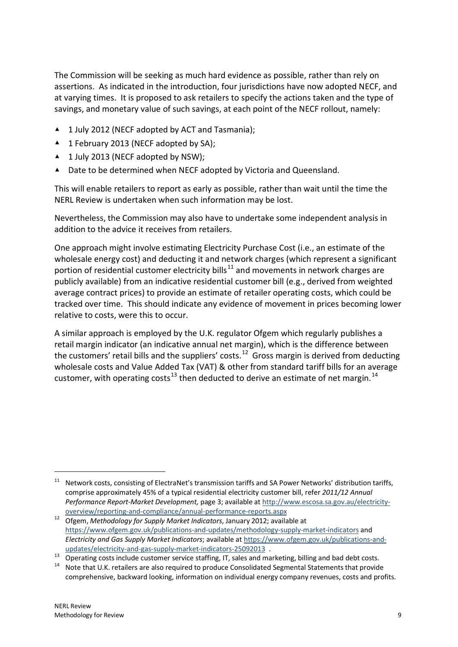The Commission will be seeking as much hard evidence as possible, rather than rely on assertions. As indicated in the introduction, four jurisdictions have now adopted NECF, and at varying times. It is proposed to ask retailers to specify the actions taken and the type of savings, and monetary value of such savings, at each point of the NECF rollout, namely:

- ▲ 1 July 2012 (NECF adopted by ACT and Tasmania);
- ▲ 1 February 2013 (NECF adopted by SA);
- ▲ 1 July 2013 (NECF adopted by NSW);
- ▲ Date to be determined when NECF adopted by Victoria and Queensland.

This will enable retailers to report as early as possible, rather than wait until the time the NERL Review is undertaken when such information may be lost.

Nevertheless, the Commission may also have to undertake some independent analysis in addition to the advice it receives from retailers.

One approach might involve estimating Electricity Purchase Cost (i.e., an estimate of the wholesale energy cost) and deducting it and network charges (which represent a significant portion of residential customer electricity bills<sup>[11](#page-11-0)</sup> and movements in network charges are publicly available) from an indicative residential customer bill (e.g., derived from weighted average contract prices) to provide an estimate of retailer operating costs, which could be tracked over time. This should indicate any evidence of movement in prices becoming lower relative to costs, were this to occur.

A similar approach is employed by the U.K. regulator Ofgem which regularly publishes a retail margin indicator (an indicative annual net margin), which is the difference between the customers' retail bills and the suppliers' costs.<sup>12</sup> Gross margin is derived from deducting wholesale costs and Value Added Tax (VAT) & other from standard tariff bills for an average customer, with operating costs<sup>[13](#page-12-1)</sup> then deducted to derive an estimate of net margin.<sup>14</sup>

<span id="page-12-3"></span><sup>&</sup>lt;sup>11</sup> Network costs, consisting of ElectraNet's transmission tariffs and SA Power Networks' distribution tariffs, comprise approximately 45% of a typical residential electricity customer bill, refer *2011/12 Annual Performance Report-Market Development,* page 3; available at [http://www.escosa.sa.gov.au/electricity](http://www.escosa.sa.gov.au/electricity-overview/reporting-and-compliance/annual-performance-reports.aspx)[overview/reporting-and-compliance/annual-performance-reports.aspx](http://www.escosa.sa.gov.au/electricity-overview/reporting-and-compliance/annual-performance-reports.aspx)

<span id="page-12-0"></span><sup>12</sup> Ofgem, *Methodology for Supply Market Indicators*, January 2012; available at <https://www.ofgem.gov.uk/publications-and-updates/methodology-supply-market-indicators> and *Electricity and Gas Supply Market Indicators*; available at [https://www.ofgem.gov.uk/publications-and](https://www.ofgem.gov.uk/publications-and-updates/electricity-and-gas-supply-market-indicators-25092013)[updates/electricity-and-gas-supply-market-indicators-25092013](https://www.ofgem.gov.uk/publications-and-updates/electricity-and-gas-supply-market-indicators-25092013) .

<span id="page-12-1"></span><sup>&</sup>lt;sup>13</sup> Operating costs include customer service staffing, IT, sales and marketing, billing and bad debt costs.<br><sup>14</sup> Note that U.K. rateilars are also required to produce Consolidated Segmental Statements that provide

<span id="page-12-2"></span>Note that U.K. retailers are also required to produce Consolidated Segmental Statements that provide comprehensive, backward looking, information on individual energy company revenues, costs and profits.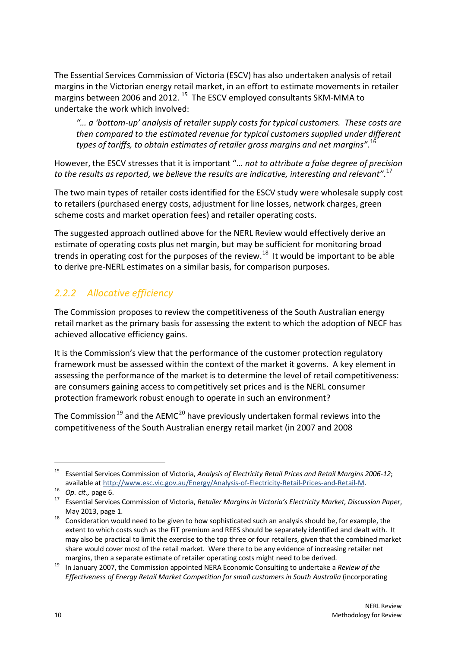The Essential Services Commission of Victoria (ESCV) has also undertaken analysis of retail margins in the Victorian energy retail market, in an effort to estimate movements in retailer margins between 2006 and 2012.<sup>[15](#page-12-3)</sup> The ESCV employed consultants SKM-MMA to undertake the work which involved:

*"… a 'bottom-up' analysis of retailer supply costs for typical customers. These costs are then compared to the estimated revenue for typical customers supplied under different types of tariffs, to obtain estimates of retailer gross margins and net margins".*[16](#page-13-0)

However, the ESCV stresses that it is important "… *not to attribute a false degree of precision to the results as reported, we believe the results are indicative, interesting and relevant"*. [17](#page-13-1)

The two main types of retailer costs identified for the ESCV study were wholesale supply cost to retailers (purchased energy costs, adjustment for line losses, network charges, green scheme costs and market operation fees) and retailer operating costs.

The suggested approach outlined above for the NERL Review would effectively derive an estimate of operating costs plus net margin, but may be sufficient for monitoring broad trends in operating cost for the purposes of the review.<sup>[18](#page-13-2)</sup> It would be important to be able to derive pre-NERL estimates on a similar basis, for comparison purposes.

### *2.2.2 Allocative efficiency*

The Commission proposes to review the competitiveness of the South Australian energy retail market as the primary basis for assessing the extent to which the adoption of NECF has achieved allocative efficiency gains.

It is the Commission's view that the performance of the customer protection regulatory framework must be assessed within the context of the market it governs. A key element in assessing the performance of the market is to determine the level of retail competitiveness: are consumers gaining access to competitively set prices and is the NERL consumer protection framework robust enough to operate in such an environment?

The Commission<sup>[19](#page-13-3)</sup> and the AEMC<sup>[20](#page-13-2)</sup> have previously undertaken formal reviews into the competitiveness of the South Australian energy retail market (in 2007 and 2008

 <sup>15</sup> Essential Services Commission of Victoria, *Analysis of Electricity Retail Prices and Retail Margins 2006-12*; available at [http://www.esc.vic.gov.au/Energy/Analysis-of-Electricity-Retail-Prices-and-Retail-M.](http://www.esc.vic.gov.au/Energy/Analysis-of-Electricity-Retail-Prices-and-Retail-M)

<span id="page-13-0"></span><sup>16</sup> *Op. cit.,* page 6.

<span id="page-13-1"></span><sup>17</sup> Essential Services Commission of Victoria, *Retailer Margins in Victoria's Electricity Market, Discussion Paper*, May 2013, page 1.

<span id="page-13-2"></span><sup>&</sup>lt;sup>18</sup> Consideration would need to be given to how sophisticated such an analysis should be, for example, the extent to which costs such as the FiT premium and REES should be separately identified and dealt with. It may also be practical to limit the exercise to the top three or four retailers, given that the combined market share would cover most of the retail market. Were there to be any evidence of increasing retailer net margins, then a separate estimate of retailer operating costs might need to be derived.

<span id="page-13-4"></span><span id="page-13-3"></span><sup>19</sup> In January 2007, the Commission appointed NERA Economic Consulting to undertake a *Review of the Effectiveness of Energy Retail Market Competition for small customers in South Australia* (incorporating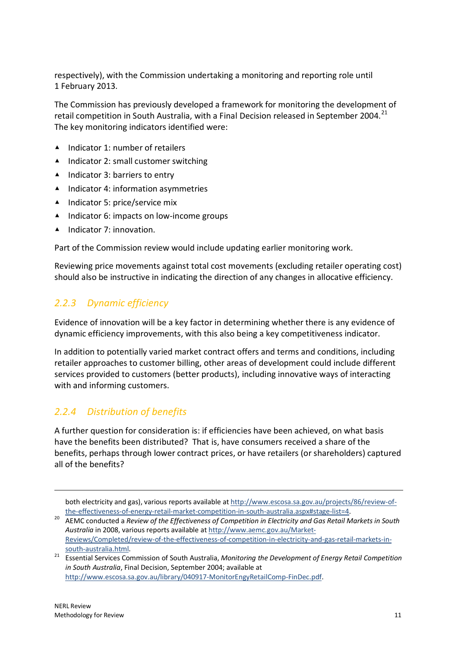respectively), with the Commission undertaking a monitoring and reporting role until 1 February 2013.

The Commission has previously developed a framework for monitoring the development of retail competition in South Australia, with a Final Decision released in September 2004.<sup>[21](#page-13-4)</sup> The key monitoring indicators identified were:

- ▲ Indicator 1: number of retailers
- ▲ Indicator 2: small customer switching
- ▲ Indicator 3: barriers to entry
- ▲ Indicator 4: information asymmetries
- ▲ Indicator 5: price/service mix
- ▲ Indicator 6: impacts on low-income groups
- ▲ Indicator 7: innovation.

Part of the Commission review would include updating earlier monitoring work.

Reviewing price movements against total cost movements (excluding retailer operating cost) should also be instructive in indicating the direction of any changes in allocative efficiency.

### *2.2.3 Dynamic efficiency*

Evidence of innovation will be a key factor in determining whether there is any evidence of dynamic efficiency improvements, with this also being a key competitiveness indicator.

In addition to potentially varied market contract offers and terms and conditions, including retailer approaches to customer billing, other areas of development could include different services provided to customers (better products), including innovative ways of interacting with and informing customers.

### *2.2.4 Distribution of benefits*

A further question for consideration is: if efficiencies have been achieved, on what basis have the benefits been distributed? That is, have consumers received a share of the benefits, perhaps through lower contract prices, or have retailers (or shareholders) captured all of the benefits?

-

both electricity and gas), various reports available at [http://www.escosa.sa.gov.au/projects/86/review-of](http://www.escosa.sa.gov.au/projects/86/review-of-the-effectiveness-of-energy-retail-market-competition-in-south-australia.aspx#stage-list=4)[the-effectiveness-of-energy-retail-market-competition-in-south-australia.aspx#stage-list=4.](http://www.escosa.sa.gov.au/projects/86/review-of-the-effectiveness-of-energy-retail-market-competition-in-south-australia.aspx#stage-list=4)

<sup>20</sup> AEMC conducted a *Review of the Effectiveness of Competition in Electricity and Gas Retail Markets in South Australia* in 2008, various reports available a[t http://www.aemc.gov.au/Market-](http://www.aemc.gov.au/Market-Reviews/Completed/review-of-the-effectiveness-of-competition-in-electricity-and-gas-retail-markets-in-south-australia.html)[Reviews/Completed/review-of-the-effectiveness-of-competition-in-electricity-and-gas-retail-markets-in](http://www.aemc.gov.au/Market-Reviews/Completed/review-of-the-effectiveness-of-competition-in-electricity-and-gas-retail-markets-in-south-australia.html)[south-australia.html.](http://www.aemc.gov.au/Market-Reviews/Completed/review-of-the-effectiveness-of-competition-in-electricity-and-gas-retail-markets-in-south-australia.html)

<span id="page-14-0"></span><sup>21</sup> Essential Services Commission of South Australia, *Monitoring the Development of Energy Retail Competition in South Australia*, Final Decision, September 2004; available at [http://www.escosa.sa.gov.au/library/040917-MonitorEngyRetailComp-FinDec.pdf.](http://www.escosa.sa.gov.au/library/040917-MonitorEngyRetailComp-FinDec.pdf)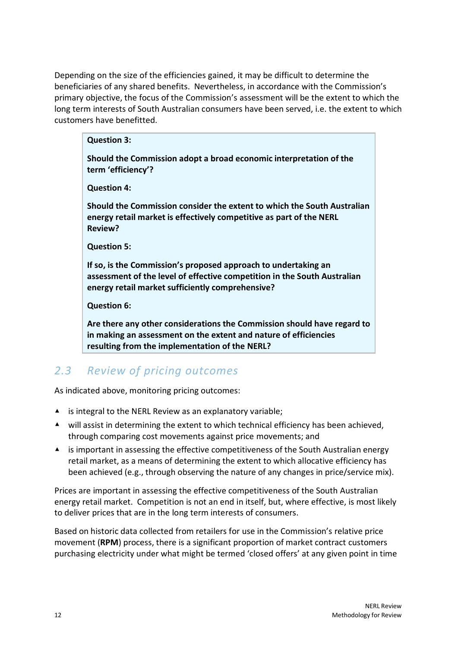Depending on the size of the efficiencies gained, it may be difficult to determine the beneficiaries of any shared benefits. Nevertheless, in accordance with the Commission's primary objective, the focus of the Commission's assessment will be the extent to which the long term interests of South Australian consumers have been served, i.e. the extent to which customers have benefitted.

| <b>Question 3:</b>                                                                                                                                                                             |
|------------------------------------------------------------------------------------------------------------------------------------------------------------------------------------------------|
| Should the Commission adopt a broad economic interpretation of the<br>term 'efficiency'?                                                                                                       |
| <b>Question 4:</b>                                                                                                                                                                             |
| Should the Commission consider the extent to which the South Australian<br>energy retail market is effectively competitive as part of the NERL<br><b>Review?</b>                               |
| <b>Question 5:</b>                                                                                                                                                                             |
| If so, is the Commission's proposed approach to undertaking an<br>assessment of the level of effective competition in the South Australian<br>energy retail market sufficiently comprehensive? |
| <b>Question 6:</b>                                                                                                                                                                             |
| Are there any other considerations the Commission should have regard to<br>in making an assessment on the extent and nature of efficiencies                                                    |

## <span id="page-15-0"></span>*2.3 Review of pricing outcomes*

As indicated above, monitoring pricing outcomes:

▲ is integral to the NERL Review as an explanatory variable;

**resulting from the implementation of the NERL?**

- ▲ will assist in determining the extent to which technical efficiency has been achieved, through comparing cost movements against price movements; and
- $\blacktriangle$  is important in assessing the effective competitiveness of the South Australian energy retail market, as a means of determining the extent to which allocative efficiency has been achieved (e.g., through observing the nature of any changes in price/service mix).

Prices are important in assessing the effective competitiveness of the South Australian energy retail market. Competition is not an end in itself, but, where effective, is most likely to deliver prices that are in the long term interests of consumers.

Based on historic data collected from retailers for use in the Commission's relative price movement (**RPM**) process, there is a significant proportion of market contract customers purchasing electricity under what might be termed 'closed offers' at any given point in time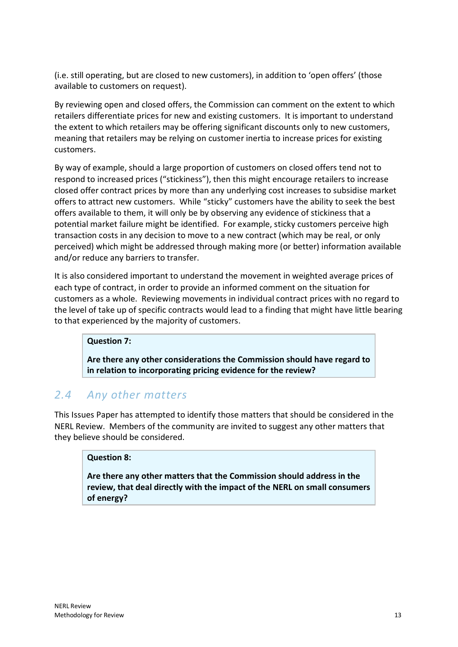(i.e. still operating, but are closed to new customers), in addition to 'open offers' (those available to customers on request).

By reviewing open and closed offers, the Commission can comment on the extent to which retailers differentiate prices for new and existing customers. It is important to understand the extent to which retailers may be offering significant discounts only to new customers, meaning that retailers may be relying on customer inertia to increase prices for existing customers.

By way of example, should a large proportion of customers on closed offers tend not to respond to increased prices ("stickiness"), then this might encourage retailers to increase closed offer contract prices by more than any underlying cost increases to subsidise market offers to attract new customers. While "sticky" customers have the ability to seek the best offers available to them, it will only be by observing any evidence of stickiness that a potential market failure might be identified. For example, sticky customers perceive high transaction costs in any decision to move to a new contract (which may be real, or only perceived) which might be addressed through making more (or better) information available and/or reduce any barriers to transfer.

It is also considered important to understand the movement in weighted average prices of each type of contract, in order to provide an informed comment on the situation for customers as a whole. Reviewing movements in individual contract prices with no regard to the level of take up of specific contracts would lead to a finding that might have little bearing to that experienced by the majority of customers.

#### **Question 7:**

**Are there any other considerations the Commission should have regard to in relation to incorporating pricing evidence for the review?**

### <span id="page-16-0"></span>*2.4 Any other matters*

This Issues Paper has attempted to identify those matters that should be considered in the NERL Review. Members of the community are invited to suggest any other matters that they believe should be considered.

#### **Question 8:**

**Are there any other matters that the Commission should address in the review, that deal directly with the impact of the NERL on small consumers of energy?**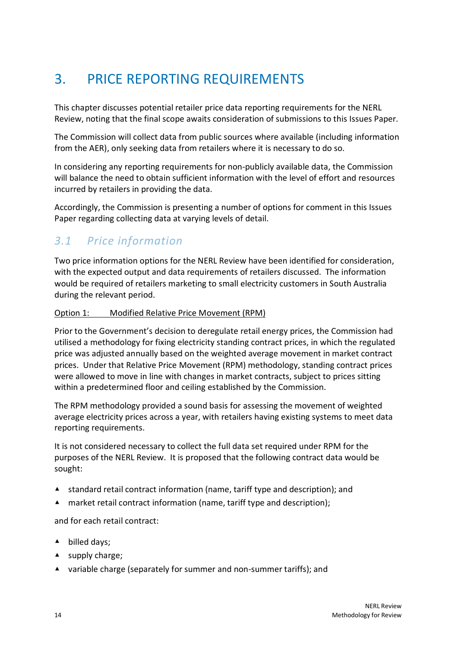# <span id="page-17-0"></span>3. PRICE REPORTING REQUIREMENTS

This chapter discusses potential retailer price data reporting requirements for the NERL Review, noting that the final scope awaits consideration of submissions to this Issues Paper.

The Commission will collect data from public sources where available (including information from the AER), only seeking data from retailers where it is necessary to do so.

In considering any reporting requirements for non-publicly available data, the Commission will balance the need to obtain sufficient information with the level of effort and resources incurred by retailers in providing the data.

Accordingly, the Commission is presenting a number of options for comment in this Issues Paper regarding collecting data at varying levels of detail.

## <span id="page-17-1"></span>*3.1 Price information*

Two price information options for the NERL Review have been identified for consideration, with the expected output and data requirements of retailers discussed. The information would be required of retailers marketing to small electricity customers in South Australia during the relevant period.

#### Option 1: Modified Relative Price Movement (RPM)

Prior to the Government's decision to deregulate retail energy prices, the Commission had utilised a methodology for fixing electricity standing contract prices, in which the regulated price was adjusted annually based on the weighted average movement in market contract prices. Under that Relative Price Movement (RPM) methodology, standing contract prices were allowed to move in line with changes in market contracts, subject to prices sitting within a predetermined floor and ceiling established by the Commission.

The RPM methodology provided a sound basis for assessing the movement of weighted average electricity prices across a year, with retailers having existing systems to meet data reporting requirements.

It is not considered necessary to collect the full data set required under RPM for the purposes of the NERL Review. It is proposed that the following contract data would be sought:

- ▲ standard retail contract information (name, tariff type and description); and
- ▲ market retail contract information (name, tariff type and description);

and for each retail contract:

- ▲ billed days;
- ▲ supply charge;
- ▲ variable charge (separately for summer and non-summer tariffs); and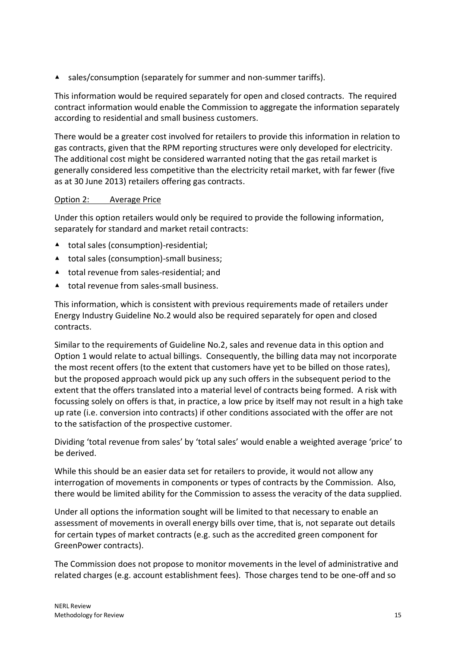▲ sales/consumption (separately for summer and non-summer tariffs).

This information would be required separately for open and closed contracts. The required contract information would enable the Commission to aggregate the information separately according to residential and small business customers.

There would be a greater cost involved for retailers to provide this information in relation to gas contracts, given that the RPM reporting structures were only developed for electricity. The additional cost might be considered warranted noting that the gas retail market is generally considered less competitive than the electricity retail market, with far fewer (five as at 30 June 2013) retailers offering gas contracts.

#### Option 2: Average Price

Under this option retailers would only be required to provide the following information, separately for standard and market retail contracts:

- ▲ total sales (consumption)-residential;
- ▲ total sales (consumption)-small business;
- ▲ total revenue from sales-residential; and
- ▲ total revenue from sales-small business.

This information, which is consistent with previous requirements made of retailers under Energy Industry Guideline No.2 would also be required separately for open and closed contracts.

Similar to the requirements of Guideline No.2, sales and revenue data in this option and Option 1 would relate to actual billings. Consequently, the billing data may not incorporate the most recent offers (to the extent that customers have yet to be billed on those rates), but the proposed approach would pick up any such offers in the subsequent period to the extent that the offers translated into a material level of contracts being formed. A risk with focussing solely on offers is that, in practice, a low price by itself may not result in a high take up rate (i.e. conversion into contracts) if other conditions associated with the offer are not to the satisfaction of the prospective customer.

Dividing 'total revenue from sales' by 'total sales' would enable a weighted average 'price' to be derived.

While this should be an easier data set for retailers to provide, it would not allow any interrogation of movements in components or types of contracts by the Commission. Also, there would be limited ability for the Commission to assess the veracity of the data supplied.

Under all options the information sought will be limited to that necessary to enable an assessment of movements in overall energy bills over time, that is, not separate out details for certain types of market contracts (e.g. such as the accredited green component for GreenPower contracts).

The Commission does not propose to monitor movements in the level of administrative and related charges (e.g. account establishment fees). Those charges tend to be one-off and so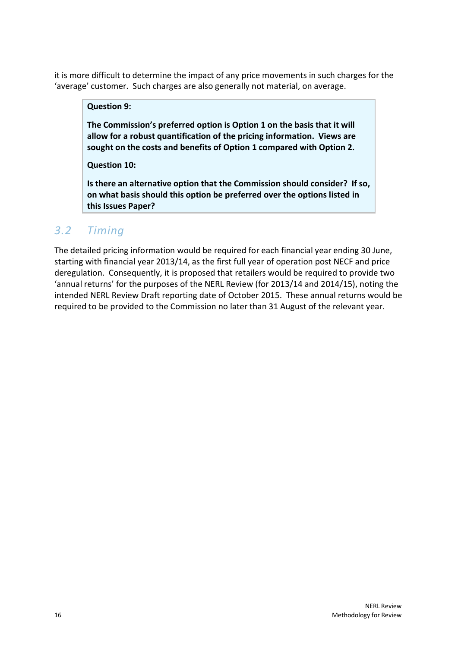it is more difficult to determine the impact of any price movements in such charges for the 'average' customer. Such charges are also generally not material, on average.

#### **Question 9:**

**The Commission's preferred option is Option 1 on the basis that it will allow for a robust quantification of the pricing information. Views are sought on the costs and benefits of Option 1 compared with Option 2.**

**Question 10:**

**Is there an alternative option that the Commission should consider? If so, on what basis should this option be preferred over the options listed in this Issues Paper?**

### <span id="page-19-0"></span>*3.2 Timing*

The detailed pricing information would be required for each financial year ending 30 June, starting with financial year 2013/14, as the first full year of operation post NECF and price deregulation. Consequently, it is proposed that retailers would be required to provide two 'annual returns' for the purposes of the NERL Review (for 2013/14 and 2014/15), noting the intended NERL Review Draft reporting date of October 2015. These annual returns would be required to be provided to the Commission no later than 31 August of the relevant year.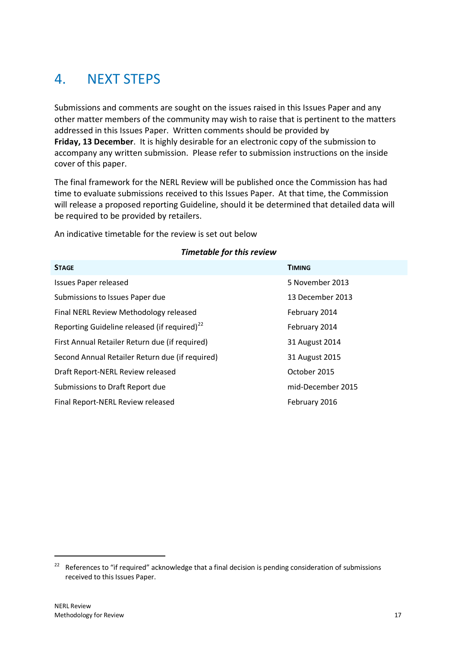# <span id="page-20-0"></span>4. NEXT STEPS

Submissions and comments are sought on the issues raised in this Issues Paper and any other matter members of the community may wish to raise that is pertinent to the matters addressed in this Issues Paper. Written comments should be provided by **Friday, 13 December**. It is highly desirable for an electronic copy of the submission to accompany any written submission. Please refer to submission instructions on the inside cover of this paper.

The final framework for the NERL Review will be published once the Commission has had time to evaluate submissions received to this Issues Paper. At that time, the Commission will release a proposed reporting Guideline, should it be determined that detailed data will be required to be provided by retailers.

An indicative timetable for the review is set out below

| <b>STAGE</b>                                             | <b>TIMING</b>     |
|----------------------------------------------------------|-------------------|
| <b>Issues Paper released</b>                             | 5 November 2013   |
| Submissions to Issues Paper due                          | 13 December 2013  |
| Final NERL Review Methodology released                   | February 2014     |
| Reporting Guideline released (if required) <sup>22</sup> | February 2014     |
| First Annual Retailer Return due (if required)           | 31 August 2014    |
| Second Annual Retailer Return due (if required)          | 31 August 2015    |
| Draft Report-NERL Review released                        | October 2015      |
| Submissions to Draft Report due                          | mid-December 2015 |
| Final Report-NERL Review released                        | February 2016     |

#### *Timetable for this review*

<sup>&</sup>lt;sup>22</sup> References to "if required" acknowledge that a final decision is pending consideration of submissions received to this Issues Paper.